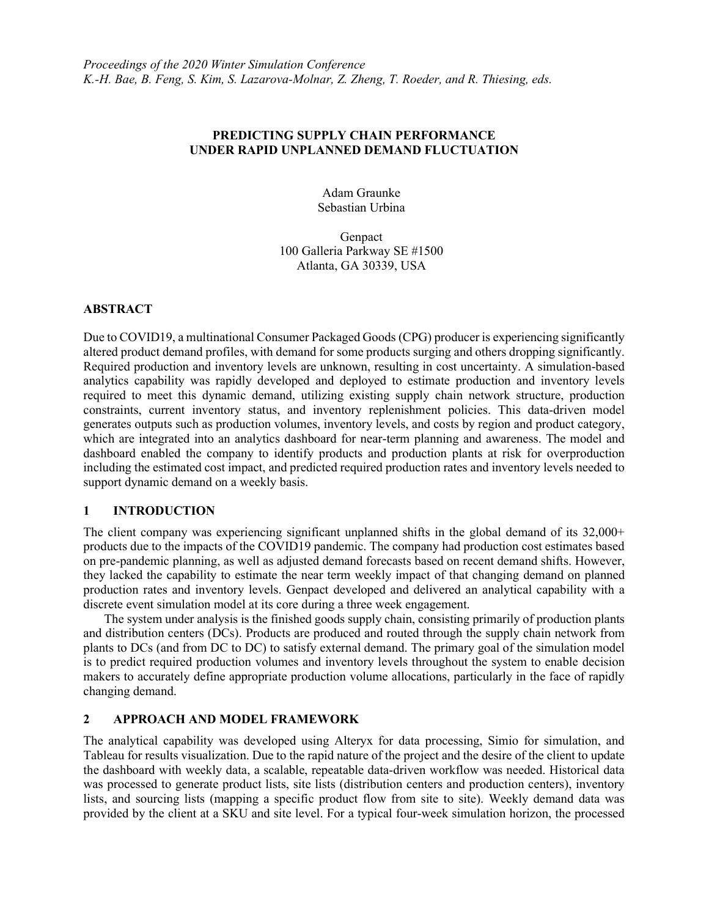# PREDICTING SUPPLY CHAIN PERFORMANCE UNDER RAPID UNPLANNED DEMAND FLUCTUATION

Adam Graunke Sebastian Urbina

Genpact 100 Galleria Parkway SE #1500 Atlanta, GA 30339, USA

## ABSTRACT

Due to COVID19, a multinational Consumer Packaged Goods (CPG) producer is experiencing significantly altered product demand profiles, with demand for some products surging and others dropping significantly. Required production and inventory levels are unknown, resulting in cost uncertainty. A simulation-based analytics capability was rapidly developed and deployed to estimate production and inventory levels required to meet this dynamic demand, utilizing existing supply chain network structure, production constraints, current inventory status, and inventory replenishment policies. This data-driven model generates outputs such as production volumes, inventory levels, and costs by region and product category, which are integrated into an analytics dashboard for near-term planning and awareness. The model and dashboard enabled the company to identify products and production plants at risk for overproduction including the estimated cost impact, and predicted required production rates and inventory levels needed to support dynamic demand on a weekly basis.

## 1 INTRODUCTION

The client company was experiencing significant unplanned shifts in the global demand of its 32,000+ products due to the impacts of the COVID19 pandemic. The company had production cost estimates based on pre-pandemic planning, as well as adjusted demand forecasts based on recent demand shifts. However, they lacked the capability to estimate the near term weekly impact of that changing demand on planned production rates and inventory levels. Genpact developed and delivered an analytical capability with a discrete event simulation model at its core during a three week engagement.

 The system under analysis is the finished goods supply chain, consisting primarily of production plants and distribution centers (DCs). Products are produced and routed through the supply chain network from plants to DCs (and from DC to DC) to satisfy external demand. The primary goal of the simulation model is to predict required production volumes and inventory levels throughout the system to enable decision makers to accurately define appropriate production volume allocations, particularly in the face of rapidly changing demand.

# 2 APPROACH AND MODEL FRAMEWORK

The analytical capability was developed using Alteryx for data processing, Simio for simulation, and Tableau for results visualization. Due to the rapid nature of the project and the desire of the client to update the dashboard with weekly data, a scalable, repeatable data-driven workflow was needed. Historical data was processed to generate product lists, site lists (distribution centers and production centers), inventory lists, and sourcing lists (mapping a specific product flow from site to site). Weekly demand data was provided by the client at a SKU and site level. For a typical four-week simulation horizon, the processed